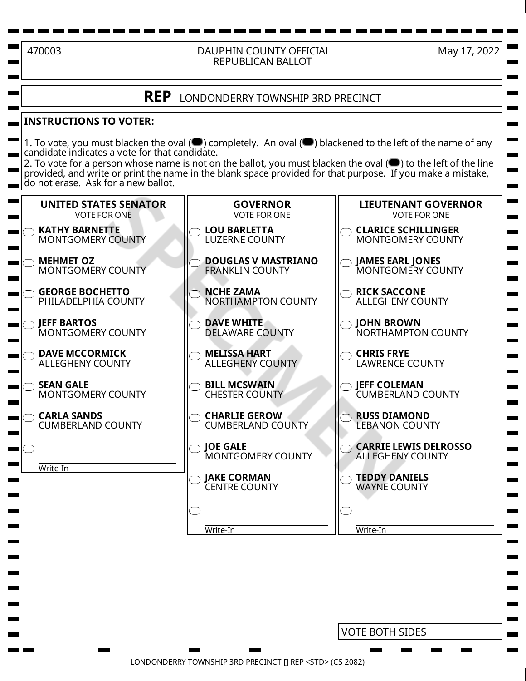## 470003 DAUPHIN COUNTY OFFICIAL REPUBLICAN BALLOT

May 17, 2022

## **REP**- LONDONDERRY TOWNSHIP 3RD PRECINCT

## **INSTRUCTIONS TO VOTER:**

1. To vote, you must blacken the oval (C) completely. An oval (C) blackened to the left of the name of any candidate indicates a vote for that candidate.

2. To vote for a person whose name is not on the ballot, you must blacken the oval  $($  ) to the left of the line provided, and write or print the name in the blank space provided for that purpose. If you make a mistake, do not erase. Ask for a new ballot.



VOTE BOTH SIDES